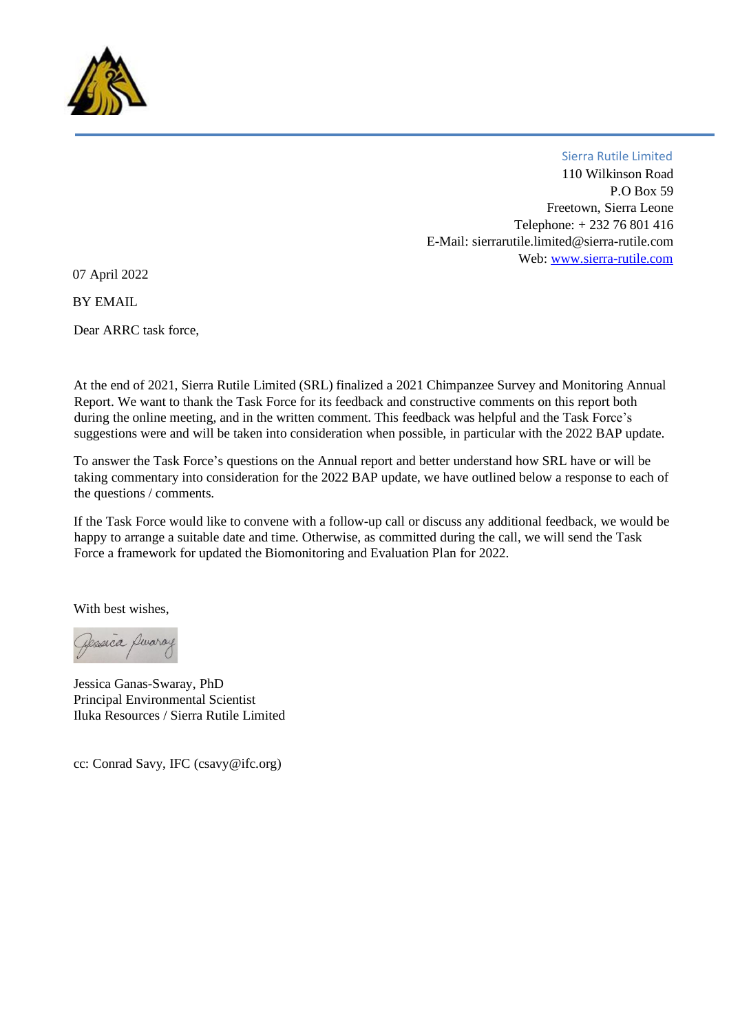

110 Wilkinson Road P.O Box 59 Freetown, Sierra Leone Telephone: + 232 76 801 416 E-Mail: sierrarutile.limited@sierra-rutile.com Web[: www.sierra-rutile.com](http://www.sierra-rutile.com/) Sierra Rutile Limited

07 April 2022

**BY EMAIL** 

Dear ARRC task force,

At the end of 2021, Sierra Rutile Limited (SRL) finalized a 2021 Chimpanzee Survey and Monitoring Annual Report. We want to thank the Task Force for its feedback and constructive comments on this report both during the online meeting, and in the written comment. This feedback was helpful and the Task Force's suggestions were and will be taken into consideration when possible, in particular with the 2022 BAP update.

To answer the Task Force's questions on the Annual report and better understand how SRL have or will be taking commentary into consideration for the 2022 BAP update, we have outlined below a response to each of the questions / comments.

If the Task Force would like to convene with a follow-up call or discuss any additional feedback, we would be happy to arrange a suitable date and time. Otherwise, as committed during the call, we will send the Task Force a framework for updated the Biomonitoring and Evaluation Plan for 2022.

With best wishes,

Desseca Duara

Jessica Ganas-Swaray, PhD Principal Environmental Scientist Iluka Resources / Sierra Rutile Limited

cc: Conrad Savy, IFC (csavy@ifc.org)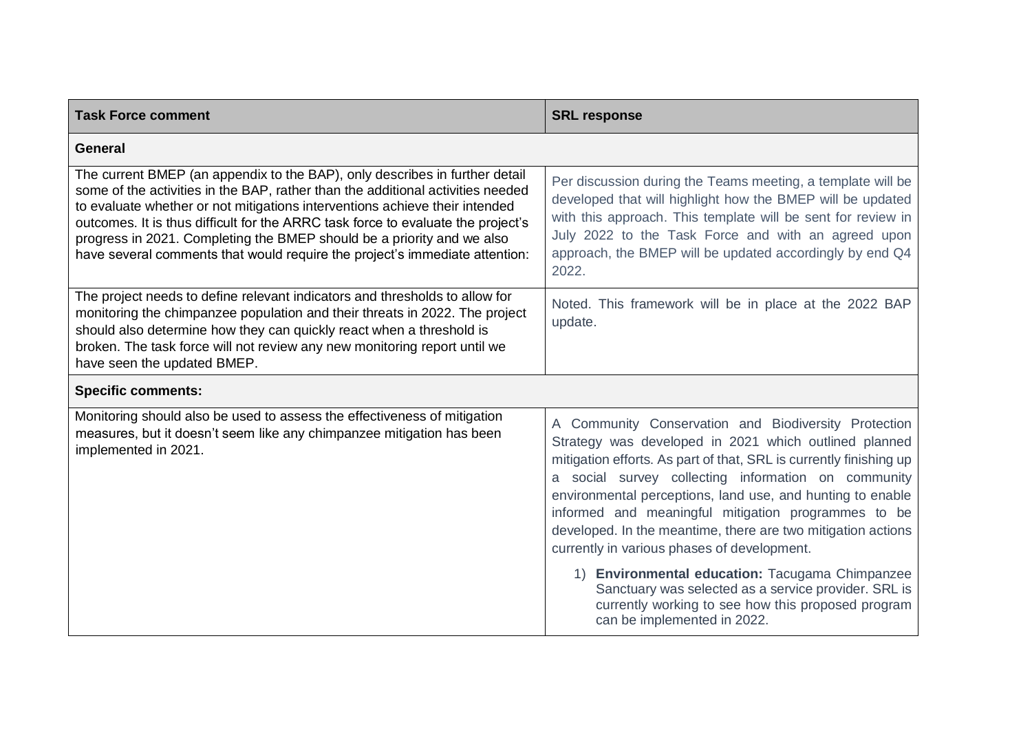| <b>Task Force comment</b>                                                                                                                                                                                                                                                                                                                                                                                                                                                                  | <b>SRL response</b>                                                                                                                                                                                                                                                                                                                                                                                                                                                                                                                                                                                                                                                            |
|--------------------------------------------------------------------------------------------------------------------------------------------------------------------------------------------------------------------------------------------------------------------------------------------------------------------------------------------------------------------------------------------------------------------------------------------------------------------------------------------|--------------------------------------------------------------------------------------------------------------------------------------------------------------------------------------------------------------------------------------------------------------------------------------------------------------------------------------------------------------------------------------------------------------------------------------------------------------------------------------------------------------------------------------------------------------------------------------------------------------------------------------------------------------------------------|
| General                                                                                                                                                                                                                                                                                                                                                                                                                                                                                    |                                                                                                                                                                                                                                                                                                                                                                                                                                                                                                                                                                                                                                                                                |
| The current BMEP (an appendix to the BAP), only describes in further detail<br>some of the activities in the BAP, rather than the additional activities needed<br>to evaluate whether or not mitigations interventions achieve their intended<br>outcomes. It is thus difficult for the ARRC task force to evaluate the project's<br>progress in 2021. Completing the BMEP should be a priority and we also<br>have several comments that would require the project's immediate attention: | Per discussion during the Teams meeting, a template will be<br>developed that will highlight how the BMEP will be updated<br>with this approach. This template will be sent for review in<br>July 2022 to the Task Force and with an agreed upon<br>approach, the BMEP will be updated accordingly by end Q4<br>2022.                                                                                                                                                                                                                                                                                                                                                          |
| The project needs to define relevant indicators and thresholds to allow for<br>monitoring the chimpanzee population and their threats in 2022. The project<br>should also determine how they can quickly react when a threshold is<br>broken. The task force will not review any new monitoring report until we<br>have seen the updated BMEP.                                                                                                                                             | Noted. This framework will be in place at the 2022 BAP<br>update.                                                                                                                                                                                                                                                                                                                                                                                                                                                                                                                                                                                                              |
| <b>Specific comments:</b>                                                                                                                                                                                                                                                                                                                                                                                                                                                                  |                                                                                                                                                                                                                                                                                                                                                                                                                                                                                                                                                                                                                                                                                |
| Monitoring should also be used to assess the effectiveness of mitigation<br>measures, but it doesn't seem like any chimpanzee mitigation has been<br>implemented in 2021.                                                                                                                                                                                                                                                                                                                  | A Community Conservation and Biodiversity Protection<br>Strategy was developed in 2021 which outlined planned<br>mitigation efforts. As part of that, SRL is currently finishing up<br>a social survey collecting information on community<br>environmental perceptions, land use, and hunting to enable<br>informed and meaningful mitigation programmes to be<br>developed. In the meantime, there are two mitigation actions<br>currently in various phases of development.<br>1) Environmental education: Tacugama Chimpanzee<br>Sanctuary was selected as a service provider. SRL is<br>currently working to see how this proposed program<br>can be implemented in 2022. |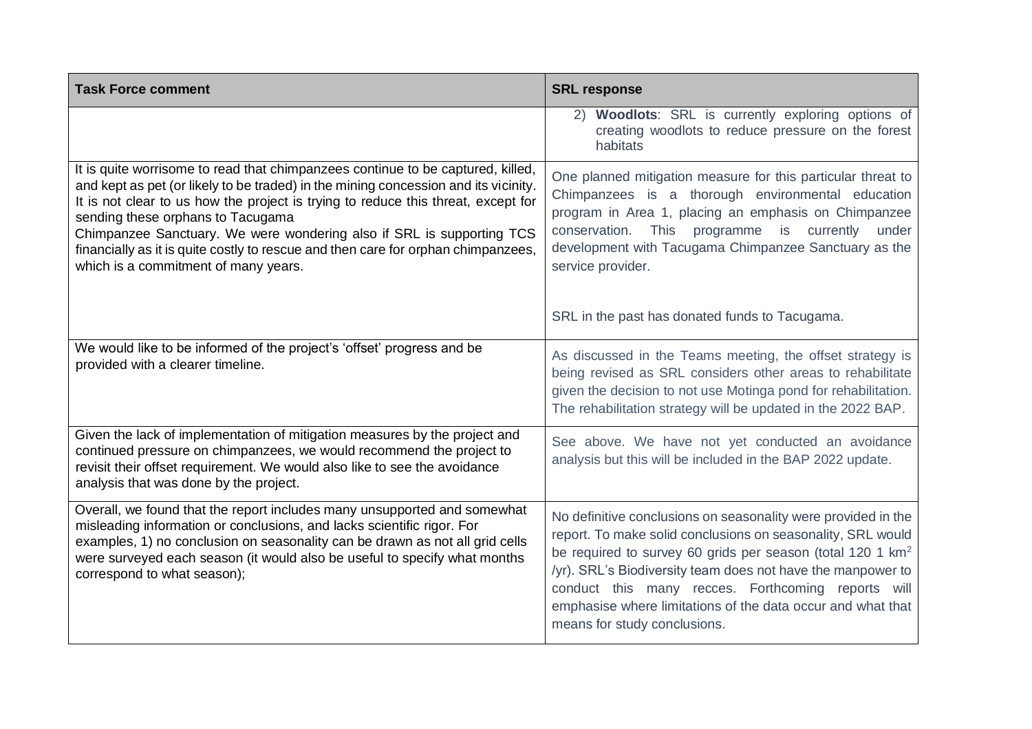| <b>Task Force comment</b>                                                                                                                                                                                                                                                                                                                                                                                                                                                                              | <b>SRL response</b>                                                                                                                                                                                                                                                                                                                                                                                                        |
|--------------------------------------------------------------------------------------------------------------------------------------------------------------------------------------------------------------------------------------------------------------------------------------------------------------------------------------------------------------------------------------------------------------------------------------------------------------------------------------------------------|----------------------------------------------------------------------------------------------------------------------------------------------------------------------------------------------------------------------------------------------------------------------------------------------------------------------------------------------------------------------------------------------------------------------------|
|                                                                                                                                                                                                                                                                                                                                                                                                                                                                                                        | 2) Woodlots: SRL is currently exploring options of<br>creating woodlots to reduce pressure on the forest<br>habitats                                                                                                                                                                                                                                                                                                       |
| It is quite worrisome to read that chimpanzees continue to be captured, killed,<br>and kept as pet (or likely to be traded) in the mining concession and its vicinity.<br>It is not clear to us how the project is trying to reduce this threat, except for<br>sending these orphans to Tacugama<br>Chimpanzee Sanctuary. We were wondering also if SRL is supporting TCS<br>financially as it is quite costly to rescue and then care for orphan chimpanzees,<br>which is a commitment of many years. | One planned mitigation measure for this particular threat to<br>Chimpanzees is a thorough environmental education<br>program in Area 1, placing an emphasis on Chimpanzee<br>conservation. This programme is currently under<br>development with Tacugama Chimpanzee Sanctuary as the<br>service provider.                                                                                                                 |
|                                                                                                                                                                                                                                                                                                                                                                                                                                                                                                        | SRL in the past has donated funds to Tacugama.                                                                                                                                                                                                                                                                                                                                                                             |
| We would like to be informed of the project's 'offset' progress and be<br>provided with a clearer timeline.                                                                                                                                                                                                                                                                                                                                                                                            | As discussed in the Teams meeting, the offset strategy is<br>being revised as SRL considers other areas to rehabilitate<br>given the decision to not use Motinga pond for rehabilitation.<br>The rehabilitation strategy will be updated in the 2022 BAP.                                                                                                                                                                  |
| Given the lack of implementation of mitigation measures by the project and<br>continued pressure on chimpanzees, we would recommend the project to<br>revisit their offset requirement. We would also like to see the avoidance<br>analysis that was done by the project.                                                                                                                                                                                                                              | See above. We have not yet conducted an avoidance<br>analysis but this will be included in the BAP 2022 update.                                                                                                                                                                                                                                                                                                            |
| Overall, we found that the report includes many unsupported and somewhat<br>misleading information or conclusions, and lacks scientific rigor. For<br>examples, 1) no conclusion on seasonality can be drawn as not all grid cells<br>were surveyed each season (it would also be useful to specify what months<br>correspond to what season);                                                                                                                                                         | No definitive conclusions on seasonality were provided in the<br>report. To make solid conclusions on seasonality, SRL would<br>be required to survey 60 grids per season (total 120 1 km <sup>2</sup><br>/yr). SRL's Biodiversity team does not have the manpower to<br>conduct this many recces. Forthcoming reports will<br>emphasise where limitations of the data occur and what that<br>means for study conclusions. |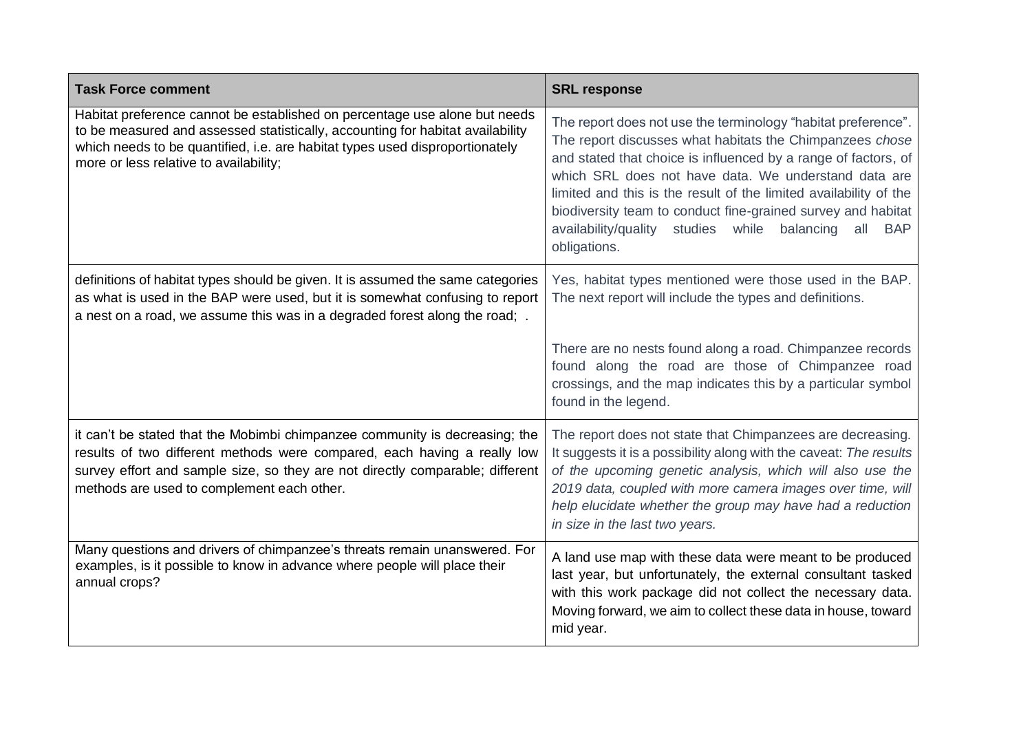| <b>Task Force comment</b>                                                                                                                                                                                                                                                              | <b>SRL response</b>                                                                                                                                                                                                                                                                                                                                                                                                                                                                    |
|----------------------------------------------------------------------------------------------------------------------------------------------------------------------------------------------------------------------------------------------------------------------------------------|----------------------------------------------------------------------------------------------------------------------------------------------------------------------------------------------------------------------------------------------------------------------------------------------------------------------------------------------------------------------------------------------------------------------------------------------------------------------------------------|
| Habitat preference cannot be established on percentage use alone but needs<br>to be measured and assessed statistically, accounting for habitat availability<br>which needs to be quantified, i.e. are habitat types used disproportionately<br>more or less relative to availability; | The report does not use the terminology "habitat preference".<br>The report discusses what habitats the Chimpanzees chose<br>and stated that choice is influenced by a range of factors, of<br>which SRL does not have data. We understand data are<br>limited and this is the result of the limited availability of the<br>biodiversity team to conduct fine-grained survey and habitat<br>availability/quality<br>studies<br>while<br>balancing<br>all<br><b>BAP</b><br>obligations. |
| definitions of habitat types should be given. It is assumed the same categories<br>as what is used in the BAP were used, but it is somewhat confusing to report<br>a nest on a road, we assume this was in a degraded forest along the road; .                                         | Yes, habitat types mentioned were those used in the BAP.<br>The next report will include the types and definitions.                                                                                                                                                                                                                                                                                                                                                                    |
|                                                                                                                                                                                                                                                                                        | There are no nests found along a road. Chimpanzee records<br>found along the road are those of Chimpanzee road<br>crossings, and the map indicates this by a particular symbol<br>found in the legend.                                                                                                                                                                                                                                                                                 |
| it can't be stated that the Mobimbi chimpanzee community is decreasing; the<br>results of two different methods were compared, each having a really low<br>survey effort and sample size, so they are not directly comparable; different<br>methods are used to complement each other. | The report does not state that Chimpanzees are decreasing.<br>It suggests it is a possibility along with the caveat: The results<br>of the upcoming genetic analysis, which will also use the<br>2019 data, coupled with more camera images over time, will<br>help elucidate whether the group may have had a reduction<br>in size in the last two years.                                                                                                                             |
| Many questions and drivers of chimpanzee's threats remain unanswered. For<br>examples, is it possible to know in advance where people will place their<br>annual crops?                                                                                                                | A land use map with these data were meant to be produced<br>last year, but unfortunately, the external consultant tasked<br>with this work package did not collect the necessary data.<br>Moving forward, we aim to collect these data in house, toward<br>mid year.                                                                                                                                                                                                                   |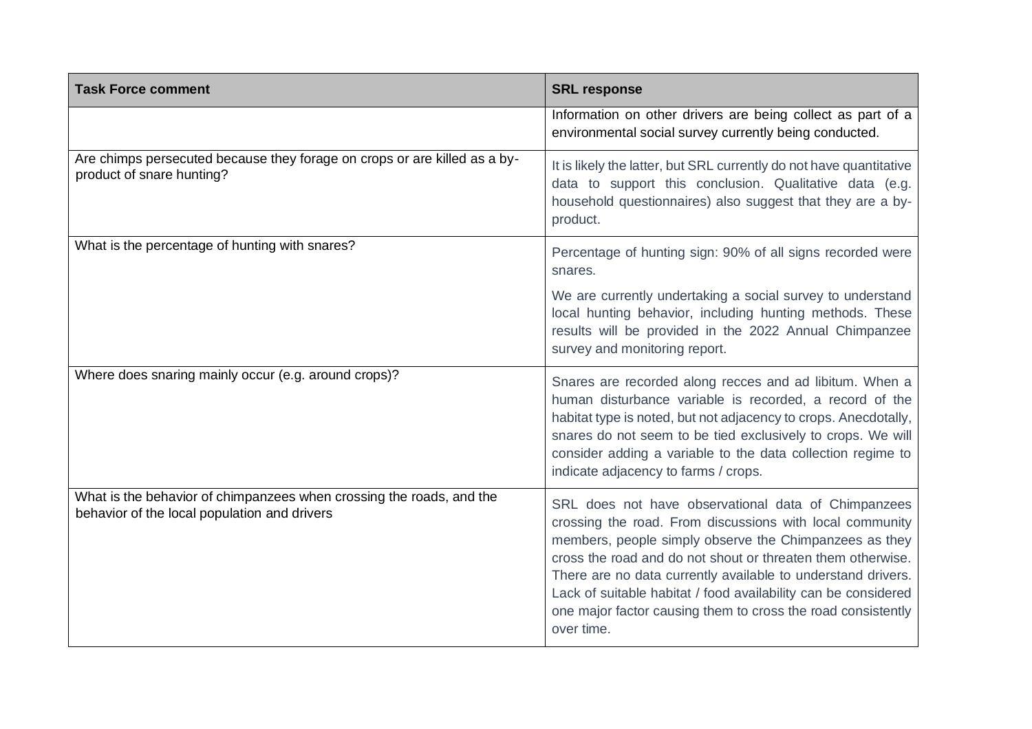| <b>Task Force comment</b>                                                                                            | <b>SRL response</b>                                                                                                                                                                                                                                                                                                                                                                                                                                      |
|----------------------------------------------------------------------------------------------------------------------|----------------------------------------------------------------------------------------------------------------------------------------------------------------------------------------------------------------------------------------------------------------------------------------------------------------------------------------------------------------------------------------------------------------------------------------------------------|
|                                                                                                                      | Information on other drivers are being collect as part of a<br>environmental social survey currently being conducted.                                                                                                                                                                                                                                                                                                                                    |
| Are chimps persecuted because they forage on crops or are killed as a by-<br>product of snare hunting?               | It is likely the latter, but SRL currently do not have quantitative<br>data to support this conclusion. Qualitative data (e.g.<br>household questionnaires) also suggest that they are a by-<br>product.                                                                                                                                                                                                                                                 |
| What is the percentage of hunting with snares?                                                                       | Percentage of hunting sign: 90% of all signs recorded were<br>snares.                                                                                                                                                                                                                                                                                                                                                                                    |
|                                                                                                                      | We are currently undertaking a social survey to understand<br>local hunting behavior, including hunting methods. These<br>results will be provided in the 2022 Annual Chimpanzee<br>survey and monitoring report.                                                                                                                                                                                                                                        |
| Where does snaring mainly occur (e.g. around crops)?                                                                 | Snares are recorded along recces and ad libitum. When a<br>human disturbance variable is recorded, a record of the<br>habitat type is noted, but not adjacency to crops. Anecdotally,<br>snares do not seem to be tied exclusively to crops. We will<br>consider adding a variable to the data collection regime to<br>indicate adjacency to farms / crops.                                                                                              |
| What is the behavior of chimpanzees when crossing the roads, and the<br>behavior of the local population and drivers | SRL does not have observational data of Chimpanzees<br>crossing the road. From discussions with local community<br>members, people simply observe the Chimpanzees as they<br>cross the road and do not shout or threaten them otherwise.<br>There are no data currently available to understand drivers.<br>Lack of suitable habitat / food availability can be considered<br>one major factor causing them to cross the road consistently<br>over time. |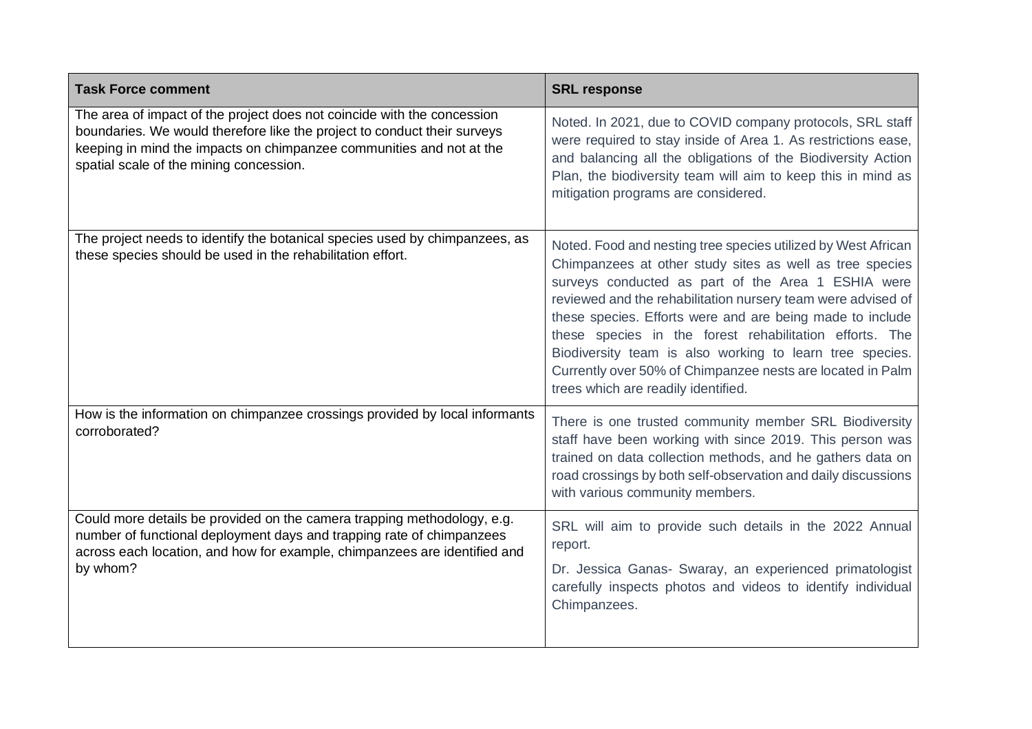| <b>Task Force comment</b>                                                                                                                                                                                                                                              | <b>SRL response</b>                                                                                                                                                                                                                                                                                                                                                                                                                                                                                                                      |
|------------------------------------------------------------------------------------------------------------------------------------------------------------------------------------------------------------------------------------------------------------------------|------------------------------------------------------------------------------------------------------------------------------------------------------------------------------------------------------------------------------------------------------------------------------------------------------------------------------------------------------------------------------------------------------------------------------------------------------------------------------------------------------------------------------------------|
| The area of impact of the project does not coincide with the concession<br>boundaries. We would therefore like the project to conduct their surveys<br>keeping in mind the impacts on chimpanzee communities and not at the<br>spatial scale of the mining concession. | Noted. In 2021, due to COVID company protocols, SRL staff<br>were required to stay inside of Area 1. As restrictions ease,<br>and balancing all the obligations of the Biodiversity Action<br>Plan, the biodiversity team will aim to keep this in mind as<br>mitigation programs are considered.                                                                                                                                                                                                                                        |
| The project needs to identify the botanical species used by chimpanzees, as<br>these species should be used in the rehabilitation effort.                                                                                                                              | Noted. Food and nesting tree species utilized by West African<br>Chimpanzees at other study sites as well as tree species<br>surveys conducted as part of the Area 1 ESHIA were<br>reviewed and the rehabilitation nursery team were advised of<br>these species. Efforts were and are being made to include<br>these species in the forest rehabilitation efforts. The<br>Biodiversity team is also working to learn tree species.<br>Currently over 50% of Chimpanzee nests are located in Palm<br>trees which are readily identified. |
| How is the information on chimpanzee crossings provided by local informants<br>corroborated?                                                                                                                                                                           | There is one trusted community member SRL Biodiversity<br>staff have been working with since 2019. This person was<br>trained on data collection methods, and he gathers data on<br>road crossings by both self-observation and daily discussions<br>with various community members.                                                                                                                                                                                                                                                     |
| Could more details be provided on the camera trapping methodology, e.g.<br>number of functional deployment days and trapping rate of chimpanzees<br>across each location, and how for example, chimpanzees are identified and<br>by whom?                              | SRL will aim to provide such details in the 2022 Annual<br>report.                                                                                                                                                                                                                                                                                                                                                                                                                                                                       |
|                                                                                                                                                                                                                                                                        | Dr. Jessica Ganas- Swaray, an experienced primatologist<br>carefully inspects photos and videos to identify individual<br>Chimpanzees.                                                                                                                                                                                                                                                                                                                                                                                                   |
|                                                                                                                                                                                                                                                                        |                                                                                                                                                                                                                                                                                                                                                                                                                                                                                                                                          |